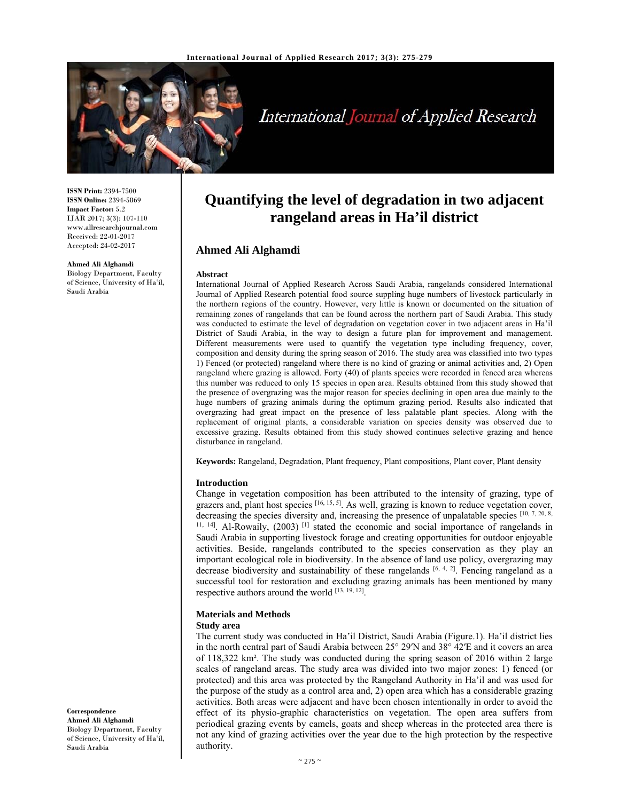

# International Journal of Applied Research

**ISSN Print:** 2394-7500 **ISSN Online:** 2394-5869 **Impact Factor:** 5.2 IJAR 2017; 3(3): 107-110 www.allresearchjournal.com Received: 22-01-2017 Accepted: 24-02-2017

**Ahmed Ali Alghamdi**  Biology Department, Faculty of Science, University of Ha'il, Saudi Arabia

# **Quantifying the level of degradation in two adjacent rangeland areas in Ha'il district**

## **Ahmed Ali Alghamdi**

#### **Abstract**

International Journal of Applied Research Across Saudi Arabia, rangelands considered International Journal of Applied Research potential food source suppling huge numbers of livestock particularly in the northern regions of the country. However, very little is known or documented on the situation of remaining zones of rangelands that can be found across the northern part of Saudi Arabia. This study was conducted to estimate the level of degradation on vegetation cover in two adjacent areas in Ha'il District of Saudi Arabia, in the way to design a future plan for improvement and management. Different measurements were used to quantify the vegetation type including frequency, cover, composition and density during the spring season of 2016. The study area was classified into two types 1) Fenced (or protected) rangeland where there is no kind of grazing or animal activities and, 2) Open rangeland where grazing is allowed. Forty (40) of plants species were recorded in fenced area whereas this number was reduced to only 15 species in open area. Results obtained from this study showed that the presence of overgrazing was the major reason for species declining in open area due mainly to the huge numbers of grazing animals during the optimum grazing period. Results also indicated that overgrazing had great impact on the presence of less palatable plant species. Along with the replacement of original plants, a considerable variation on species density was observed due to excessive grazing. Results obtained from this study showed continues selective grazing and hence disturbance in rangeland.

**Keywords:** Rangeland, Degradation, Plant frequency, Plant compositions, Plant cover, Plant density

#### **Introduction**

Change in vegetation composition has been attributed to the intensity of grazing, type of grazers and, plant host species  $[16, 15, 5]$ . As well, grazing is known to reduce vegetation cover, decreasing the species diversity and, increasing the presence of unpalatable species  $[10, 7, 20, 8,$ <sup>11, 14</sup>]. Al-Rowaily, (2003)<sup>[1]</sup> stated the economic and social importance of rangelands in Saudi Arabia in supporting livestock forage and creating opportunities for outdoor enjoyable activities. Beside, rangelands contributed to the species conservation as they play an important ecological role in biodiversity. In the absence of land use policy, overgrazing may decrease biodiversity and sustainability of these rangelands  $[6, 4, 2]$ . Fencing rangeland as a successful tool for restoration and excluding grazing animals has been mentioned by many respective authors around the world [13, 19, 12].

## **Materials and Methods**

#### **Study area**

The current study was conducted in Ha'il District, Saudi Arabia (Figure.1). Ha'il district lies in the north central part of Saudi Arabia between 25° 29′N and 38° 42′E and it covers an area of 118,322 km². The study was conducted during the spring season of 2016 within 2 large scales of rangeland areas. The study area was divided into two major zones: 1) fenced (or protected) and this area was protected by the Rangeland Authority in Ha'il and was used for the purpose of the study as a control area and, 2) open area which has a considerable grazing activities. Both areas were adjacent and have been chosen intentionally in order to avoid the effect of its physio-graphic characteristics on vegetation. The open area suffers from periodical grazing events by camels, goats and sheep whereas in the protected area there is not any kind of grazing activities over the year due to the high protection by the respective authority.

**Correspondence Ahmed Ali Alghamdi**  Biology Department, Faculty of Science, University of Ha'il, Saudi Arabia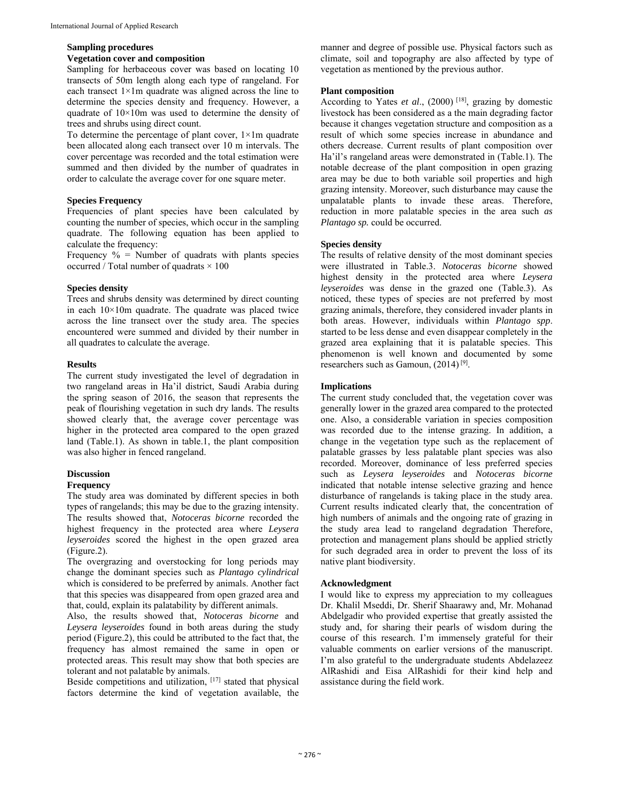#### **Sampling procedures**

#### **Vegetation cover and composition**

Sampling for herbaceous cover was based on locating 10 transects of 50m length along each type of rangeland. For each transect 1×1m quadrate was aligned across the line to determine the species density and frequency. However, a quadrate of  $10\times10m$  was used to determine the density of trees and shrubs using direct count.

To determine the percentage of plant cover,  $1 \times 1$ m quadrate been allocated along each transect over 10 m intervals. The cover percentage was recorded and the total estimation were summed and then divided by the number of quadrates in order to calculate the average cover for one square meter.

#### **Species Frequency**

Frequencies of plant species have been calculated by counting the number of species, which occur in the sampling quadrate. The following equation has been applied to calculate the frequency:

Frequency  $\%$  = Number of quadrats with plants species occurred / Total number of quadrats  $\times$  100

#### **Species density**

Trees and shrubs density was determined by direct counting in each  $10\times10m$  quadrate. The quadrate was placed twice across the line transect over the study area. The species encountered were summed and divided by their number in all quadrates to calculate the average.

#### **Results**

The current study investigated the level of degradation in two rangeland areas in Ha'il district, Saudi Arabia during the spring season of 2016, the season that represents the peak of flourishing vegetation in such dry lands. The results showed clearly that, the average cover percentage was higher in the protected area compared to the open grazed land (Table.1). As shown in table.1, the plant composition was also higher in fenced rangeland.

#### **Discussion**

#### **Frequency**

The study area was dominated by different species in both types of rangelands; this may be due to the grazing intensity. The results showed that, *Notoceras bicorne* recorded the highest frequency in the protected area where *Leysera leyseroides* scored the highest in the open grazed area (Figure.2).

The overgrazing and overstocking for long periods may change the dominant species such as *Plantago cylindrical* which is considered to be preferred by animals. Another fact that this species was disappeared from open grazed area and that, could, explain its palatability by different animals.

Also, the results showed that, *Notoceras bicorne* and *Leysera leyseroides* found in both areas during the study period (Figure.2), this could be attributed to the fact that, the frequency has almost remained the same in open or protected areas. This result may show that both species are tolerant and not palatable by animals.

Beside competitions and utilization, [17] stated that physical factors determine the kind of vegetation available, the manner and degree of possible use. Physical factors such as climate, soil and topography are also affected by type of vegetation as mentioned by the previous author.

#### **Plant composition**

According to Yates *et al.*, (2000)<sup>[18]</sup>, grazing by domestic livestock has been considered as a the main degrading factor because it changes vegetation structure and composition as a result of which some species increase in abundance and others decrease. Current results of plant composition over Ha'il's rangeland areas were demonstrated in (Table.1). The notable decrease of the plant composition in open grazing area may be due to both variable soil properties and high grazing intensity. Moreover, such disturbance may cause the unpalatable plants to invade these areas. Therefore, reduction in more palatable species in the area such *as Plantago sp.* could be occurred.

#### **Species density**

The results of relative density of the most dominant species were illustrated in Table.3. *Notoceras bicorne* showed highest density in the protected area where *Leysera leyseroides* was dense in the grazed one (Table.3). As noticed, these types of species are not preferred by most grazing animals, therefore, they considered invader plants in both areas. However, individuals within *Plantago spp*. started to be less dense and even disappear completely in the grazed area explaining that it is palatable species. This phenomenon is well known and documented by some researchers such as Gamoun, (2014) [9].

#### **Implications**

The current study concluded that, the vegetation cover was generally lower in the grazed area compared to the protected one. Also, a considerable variation in species composition was recorded due to the intense grazing. In addition, a change in the vegetation type such as the replacement of palatable grasses by less palatable plant species was also recorded. Moreover, dominance of less preferred species such as *Leysera leyseroides* and *Notoceras bicorne* indicated that notable intense selective grazing and hence disturbance of rangelands is taking place in the study area. Current results indicated clearly that, the concentration of high numbers of animals and the ongoing rate of grazing in the study area lead to rangeland degradation Therefore, protection and management plans should be applied strictly for such degraded area in order to prevent the loss of its native plant biodiversity.

#### **Acknowledgment**

I would like to express my appreciation to my colleagues Dr. Khalil Mseddi, Dr. Sherif Shaarawy and, Mr. Mohanad Abdelgadir who provided expertise that greatly assisted the study and, for sharing their pearls of wisdom during the course of this research. I'm immensely grateful for their valuable comments on earlier versions of the manuscript. I'm also grateful to the undergraduate students Abdelazeez AlRashidi and Eisa AlRashidi for their kind help and assistance during the field work.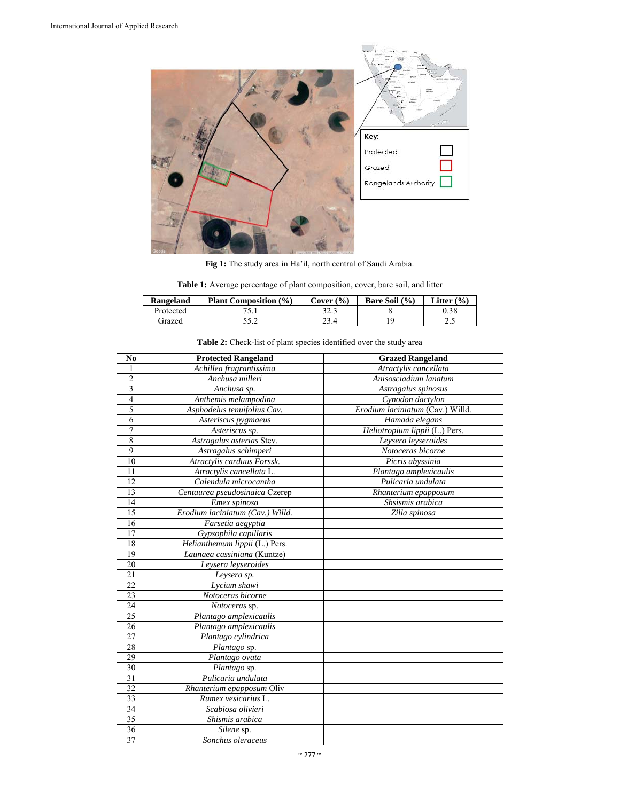

**Fig 1:** The study area in Ha'il, north central of Saudi Arabia.

|  |  | <b>Table 1:</b> Average percentage of plant composition, cover, bare soil, and litter |  |  |
|--|--|---------------------------------------------------------------------------------------|--|--|
|--|--|---------------------------------------------------------------------------------------|--|--|

| Rangeland | <b>Plant Composition (%)</b> | C <b>over</b> (%) | Bare Soil (%) | Litter $(\% )$ |
|-----------|------------------------------|-------------------|---------------|----------------|
| Protected |                              | າາາ<br>د. ۱2      |               | 0.38           |
| Grazed    |                              | 23.4              |               | ن. ے           |

| N <sub>0</sub>  | <b>Protected Rangeland</b>       | <b>Grazed Rangeland</b>          |
|-----------------|----------------------------------|----------------------------------|
|                 | Achillea fragrantissima          | Atractylis cancellata            |
| $\overline{2}$  | Anchusa milleri                  | Anisosciadium lanatum            |
| 3               | $\overline{A}$ nchusa sp.        | Astragalus spinosus              |
| $\overline{4}$  | Anthemis melampodina             | Cynodon dactylon                 |
| 5               | Asphodelus tenuifolius Cav.      | Erodium laciniatum (Cav.) Willd. |
| 6               | Asteriscus pygmaeus              | Hamada elegans                   |
| 7               | Asteriscus sp.                   | Heliotropium lippii (L.) Pers.   |
| $\overline{8}$  | Astragalus asterias Stev.        | Leysera leyseroides              |
| 9               | Astragalus schimperi             | Notoceras bicorne                |
| 10              | Atractylis carduus Forssk.       | Picris abyssinia                 |
| 11              | Atractylis cancellata L.         | Plantago amplexicaulis           |
| 12              | Calendula microcantha            | Pulicaria undulata               |
| 13              | Centaurea pseudosinaica Czerep   | Rhanterium epapposum             |
| 14              | Emex spinosa                     | Shsismis arabica                 |
| 15              | Erodium laciniatum (Cav.) Willd. | Zilla spinosa                    |
| 16              | Farsetia aegyptia                |                                  |
| 17              | Gypsophila capillaris            |                                  |
| 18              | Helianthemum lippii (L.) Pers.   |                                  |
| 19              | Launaea cassiniana (Kuntze)      |                                  |
| 20              | Leysera leyseroides              |                                  |
| 21              | Leysera sp.                      |                                  |
| 22              | Lycium shawi                     |                                  |
| 23              | Notoceras bicorne                |                                  |
| $\overline{24}$ | Notoceras sp.                    |                                  |
| 25              | Plantago amplexicaulis           |                                  |
| 26              | Plantago amplexicaulis           |                                  |
| 27              | Plantago cylindrica              |                                  |
| 28              | Plantago sp.                     |                                  |
| 29              | Plantago ovata                   |                                  |
| 30              | Plantago sp.                     |                                  |
| $\overline{31}$ | Pulicaria undulata               |                                  |
| $\overline{32}$ | Rhanterium epapposum Oliv        |                                  |
| 33              | Rumex vesicarius L.              |                                  |
| $\overline{34}$ | Scabiosa olivieri                |                                  |
| 35              | Shismis arabica                  |                                  |
| 36              | Silene sp.                       |                                  |
| 37              | Sonchus oleraceus                |                                  |

# **Table 2:** Check-list of plant species identified over the study area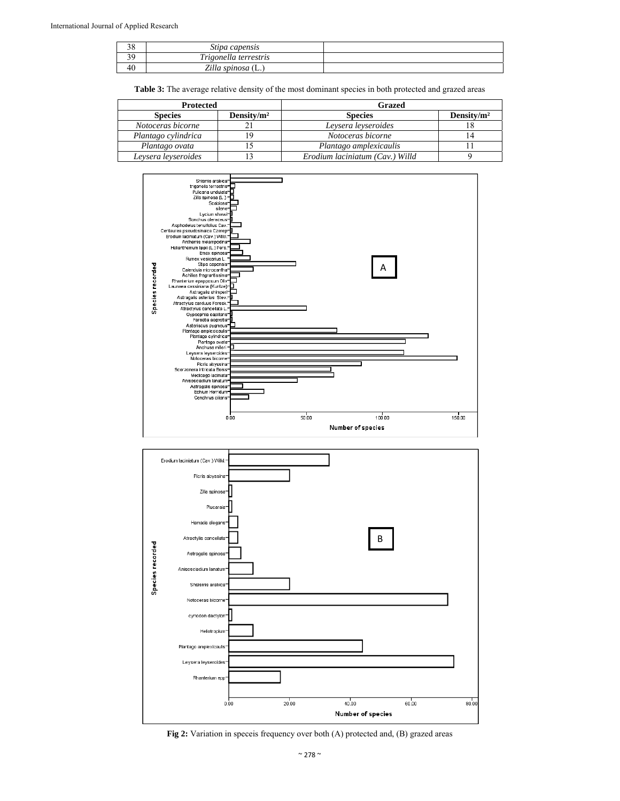| $\sim$<br>υc | Stipa capensis             |  |
|--------------|----------------------------|--|
|              | Trigonella terrestris      |  |
| 4U           | Zilla spinosa<br><b>LA</b> |  |

Table 3: The average relative density of the most dominant species in both protected and grazed areas

| <b>Protected</b>    |                | Grazed                          |                |
|---------------------|----------------|---------------------------------|----------------|
| <b>Species</b>      | Density/ $m^2$ | <b>Species</b>                  | Density/ $m^2$ |
| Notoceras bicorne   |                | Leysera leyseroides             |                |
| Plantago cylindrica | -9             | Notoceras bicorne               |                |
| Plantago ovata      |                | Plantago amplexicaulis          |                |
| Leysera leyseroides |                | Erodium laciniatum (Cav.) Willd |                |





**Fig 2:** Variation in speceis frequency over both (A) protected and, (B) grazed areas